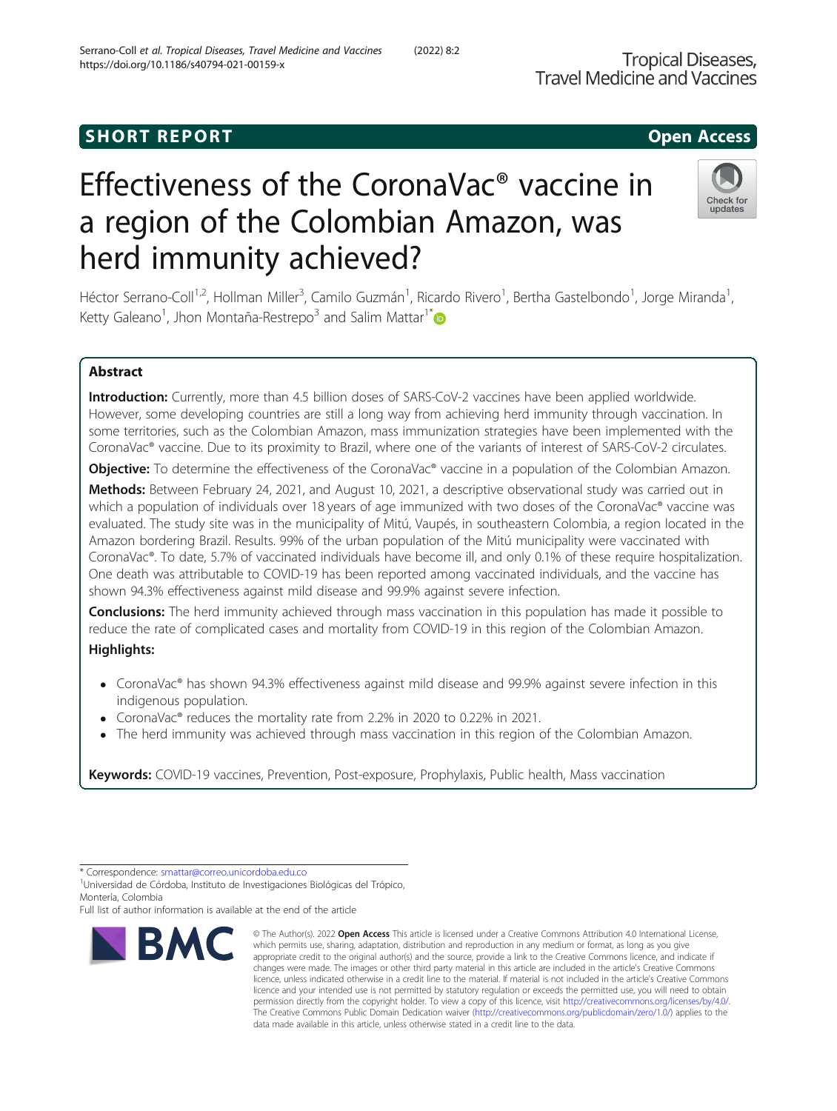# Effectiveness of the CoronaVac® vaccine in a region of the Colombian Amazon, was herd immunity achieved?

Héctor Serrano-Coll<sup>1,2</sup>, Hollman Miller<sup>3</sup>, Camilo Guzmán<sup>1</sup>, Ricardo Rivero<sup>1</sup>, Bertha Gastelbondo<sup>1</sup>, Jorge Miranda<sup>1</sup> , Ketty Galeano<sup>1</sup>, Jhon Montaña-Restrepo<sup>3</sup> and Salim Mattar<sup>1\*</sup>

# Abstract

Introduction: Currently, more than 4.5 billion doses of SARS-CoV-2 vaccines have been applied worldwide. However, some developing countries are still a long way from achieving herd immunity through vaccination. In some territories, such as the Colombian Amazon, mass immunization strategies have been implemented with the CoronaVac® vaccine. Due to its proximity to Brazil, where one of the variants of interest of SARS-CoV-2 circulates.

**Objective:** To determine the effectiveness of the CoronaVac® vaccine in a population of the Colombian Amazon.

Methods: Between February 24, 2021, and August 10, 2021, a descriptive observational study was carried out in which a population of individuals over 18 years of age immunized with two doses of the CoronaVac® vaccine was evaluated. The study site was in the municipality of Mitú, Vaupés, in southeastern Colombia, a region located in the Amazon bordering Brazil. Results. 99% of the urban population of the Mitú municipality were vaccinated with CoronaVac®. To date, 5.7% of vaccinated individuals have become ill, and only 0.1% of these require hospitalization. One death was attributable to COVID-19 has been reported among vaccinated individuals, and the vaccine has shown 94.3% effectiveness against mild disease and 99.9% against severe infection.

**Conclusions:** The herd immunity achieved through mass vaccination in this population has made it possible to reduce the rate of complicated cases and mortality from COVID-19 in this region of the Colombian Amazon.

# Highlights:

- CoronaVac® has shown 94.3% effectiveness against mild disease and 99.9% against severe infection in this indigenous population.
- CoronaVac® reduces the mortality rate from 2.2% in 2020 to 0.22% in 2021.
- The herd immunity was achieved through mass vaccination in this region of the Colombian Amazon.

Keywords: COVID-19 vaccines, Prevention, Post-exposure, Prophylaxis, Public health, Mass vaccination

**RMC** 

which permits use, sharing, adaptation, distribution and reproduction in any medium or format, as long as you give appropriate credit to the original author(s) and the source, provide a link to the Creative Commons licence, and indicate if changes were made. The images or other third party material in this article are included in the article's Creative Commons licence, unless indicated otherwise in a credit line to the material. If material is not included in the article's Creative Commons licence and your intended use is not permitted by statutory regulation or exceeds the permitted use, you will need to obtain permission directly from the copyright holder. To view a copy of this licence, visit [http://creativecommons.org/licenses/by/4.0/.](http://creativecommons.org/licenses/by/4.0/) The Creative Commons Public Domain Dedication waiver [\(http://creativecommons.org/publicdomain/zero/1.0/](http://creativecommons.org/publicdomain/zero/1.0/)) applies to the data made available in this article, unless otherwise stated in a credit line to the data.

© The Author(s), 2022 **Open Access** This article is licensed under a Creative Commons Attribution 4.0 International License,





undates

<sup>\*</sup> Correspondence: [smattar@correo.unicordoba.edu.co](mailto:smattar@correo.unicordoba.edu.co) <sup>1</sup>

Universidad de Córdoba, Instituto de Investigaciones Biológicas del Trópico, Montería, Colombia

Full list of author information is available at the end of the article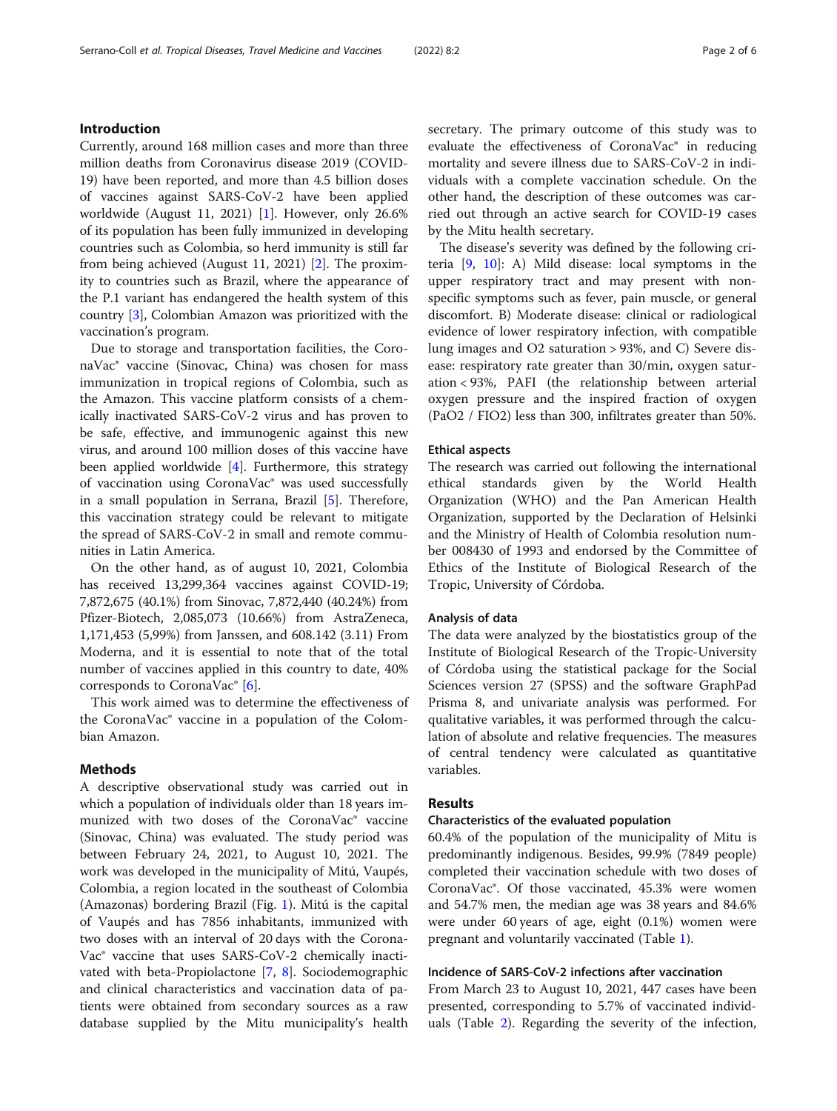# Introduction

Currently, around 168 million cases and more than three million deaths from Coronavirus disease 2019 (COVID-19) have been reported, and more than 4.5 billion doses of vaccines against SARS-CoV-2 have been applied worldwide (August 11, 2021) [\[1](#page-5-0)]. However, only 26.6% of its population has been fully immunized in developing countries such as Colombia, so herd immunity is still far from being achieved (August 11, 2021) [\[2](#page-5-0)]. The proximity to countries such as Brazil, where the appearance of the P.1 variant has endangered the health system of this country [\[3](#page-5-0)], Colombian Amazon was prioritized with the vaccination's program.

Due to storage and transportation facilities, the CoronaVac® vaccine (Sinovac, China) was chosen for mass immunization in tropical regions of Colombia, such as the Amazon. This vaccine platform consists of a chemically inactivated SARS-CoV-2 virus and has proven to be safe, effective, and immunogenic against this new virus, and around 100 million doses of this vaccine have been applied worldwide [\[4](#page-5-0)]. Furthermore, this strategy of vaccination using CoronaVac® was used successfully in a small population in Serrana, Brazil [\[5](#page-5-0)]. Therefore, this vaccination strategy could be relevant to mitigate the spread of SARS-CoV-2 in small and remote communities in Latin America.

On the other hand, as of august 10, 2021, Colombia has received 13,299,364 vaccines against COVID-19; 7,872,675 (40.1%) from Sinovac, 7,872,440 (40.24%) from Pfizer-Biotech, 2,085,073 (10.66%) from AstraZeneca, 1,171,453 (5,99%) from Janssen, and 608.142 (3.11) From Moderna, and it is essential to note that of the total number of vaccines applied in this country to date, 40% corresponds to CoronaVac $\degree$  [[6](#page-5-0)].

This work aimed was to determine the effectiveness of the CoronaVac® vaccine in a population of the Colombian Amazon.

# Methods

A descriptive observational study was carried out in which a population of individuals older than 18 years immunized with two doses of the CoronaVac® vaccine (Sinovac, China) was evaluated. The study period was between February 24, 2021, to August 10, 2021. The work was developed in the municipality of Mitú, Vaupés, Colombia, a region located in the southeast of Colombia (Amazonas) bordering Brazil (Fig. [1](#page-2-0)). Mitú is the capital of Vaupés and has 7856 inhabitants, immunized with two doses with an interval of 20 days with the Corona-Vac® vaccine that uses SARS-CoV-2 chemically inactivated with beta-Propiolactone [\[7](#page-5-0), [8\]](#page-5-0). Sociodemographic and clinical characteristics and vaccination data of patients were obtained from secondary sources as a raw database supplied by the Mitu municipality's health secretary. The primary outcome of this study was to evaluate the effectiveness of CoronaVac® in reducing mortality and severe illness due to SARS-CoV-2 in individuals with a complete vaccination schedule. On the other hand, the description of these outcomes was carried out through an active search for COVID-19 cases by the Mitu health secretary.

The disease's severity was defined by the following criteria [\[9](#page-5-0), [10\]](#page-5-0): A) Mild disease: local symptoms in the upper respiratory tract and may present with nonspecific symptoms such as fever, pain muscle, or general discomfort. B) Moderate disease: clinical or radiological evidence of lower respiratory infection, with compatible lung images and O2 saturation > 93%, and C) Severe disease: respiratory rate greater than 30/min, oxygen saturation < 93%, PAFI (the relationship between arterial oxygen pressure and the inspired fraction of oxygen (PaO2 / FIO2) less than 300, infiltrates greater than 50%.

# Ethical aspects

The research was carried out following the international ethical standards given by the World Health Organization (WHO) and the Pan American Health Organization, supported by the Declaration of Helsinki and the Ministry of Health of Colombia resolution number 008430 of 1993 and endorsed by the Committee of Ethics of the Institute of Biological Research of the Tropic, University of Córdoba.

# Analysis of data

The data were analyzed by the biostatistics group of the Institute of Biological Research of the Tropic-University of Córdoba using the statistical package for the Social Sciences version 27 (SPSS) and the software GraphPad Prisma 8, and univariate analysis was performed. For qualitative variables, it was performed through the calculation of absolute and relative frequencies. The measures of central tendency were calculated as quantitative variables.

# Results

# Characteristics of the evaluated population

60.4% of the population of the municipality of Mitu is predominantly indigenous. Besides, 99.9% (7849 people) completed their vaccination schedule with two doses of CoronaVac®. Of those vaccinated, 45.3% were women and 54.7% men, the median age was 38 years and 84.6% were under 60 years of age, eight (0.1%) women were pregnant and voluntarily vaccinated (Table [1](#page-3-0)).

# Incidence of SARS-CoV-2 infections after vaccination

From March 23 to August 10, 2021, 447 cases have been presented, corresponding to 5.7% of vaccinated individuals (Table [2](#page-3-0)). Regarding the severity of the infection,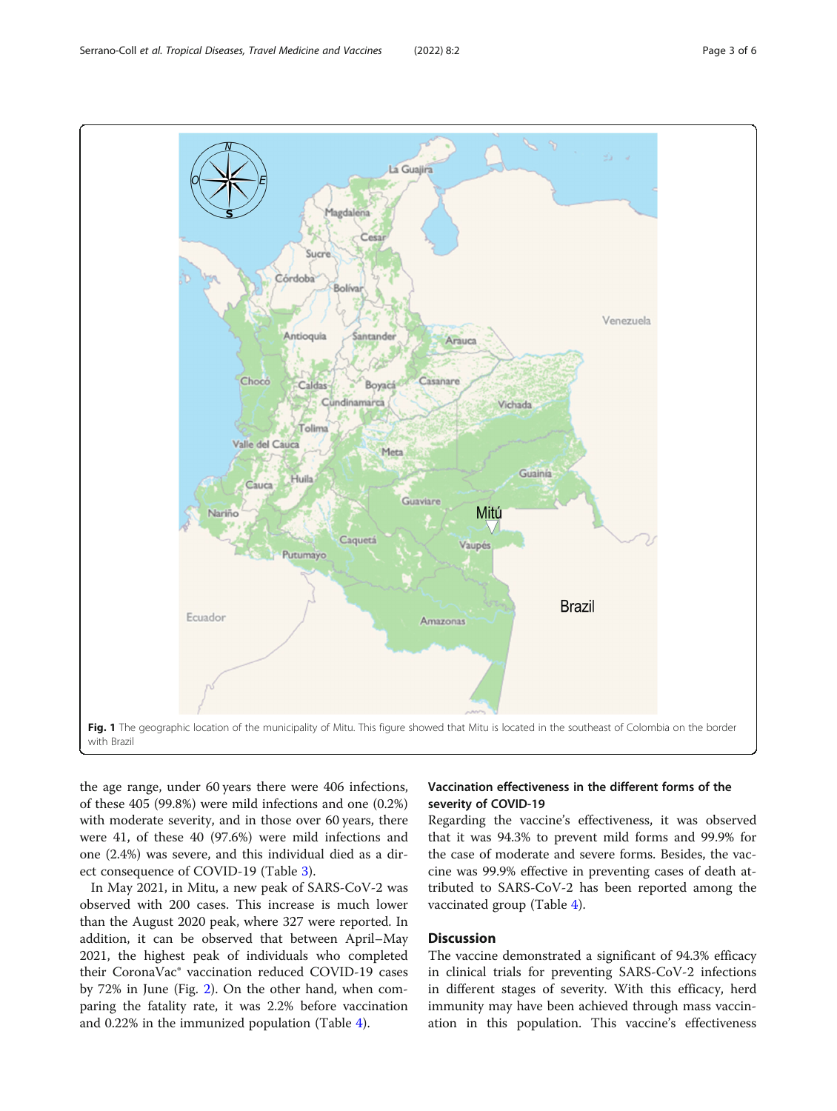the age range, under 60 years there were 406 infections, of these 405 (99.8%) were mild infections and one (0.2%) with moderate severity, and in those over 60 years, there were 41, of these 40 (97.6%) were mild infections and one (2.4%) was severe, and this individual died as a direct consequence of COVID-19 (Table [3\)](#page-3-0).

In May 2021, in Mitu, a new peak of SARS-CoV-2 was observed with 200 cases. This increase is much lower than the August 2020 peak, where 327 were reported. In addition, it can be observed that between April–May 2021, the highest peak of individuals who completed their CoronaVac® vaccination reduced COVID-19 cases by 72% in June (Fig. [2\)](#page-4-0). On the other hand, when comparing the fatality rate, it was 2.2% before vaccination and 0.22% in the immunized population (Table [4](#page-4-0)).

# Vaccination effectiveness in the different forms of the severity of COVID-19

Regarding the vaccine's effectiveness, it was observed that it was 94.3% to prevent mild forms and 99.9% for the case of moderate and severe forms. Besides, the vaccine was 99.9% effective in preventing cases of death attributed to SARS-CoV-2 has been reported among the vaccinated group (Table [4\)](#page-4-0).

Discussion

The vaccine demonstrated a significant of 94.3% efficacy in clinical trials for preventing SARS-CoV-2 infections in different stages of severity. With this efficacy, herd immunity may have been achieved through mass vaccination in this population. This vaccine's effectiveness

<span id="page-2-0"></span>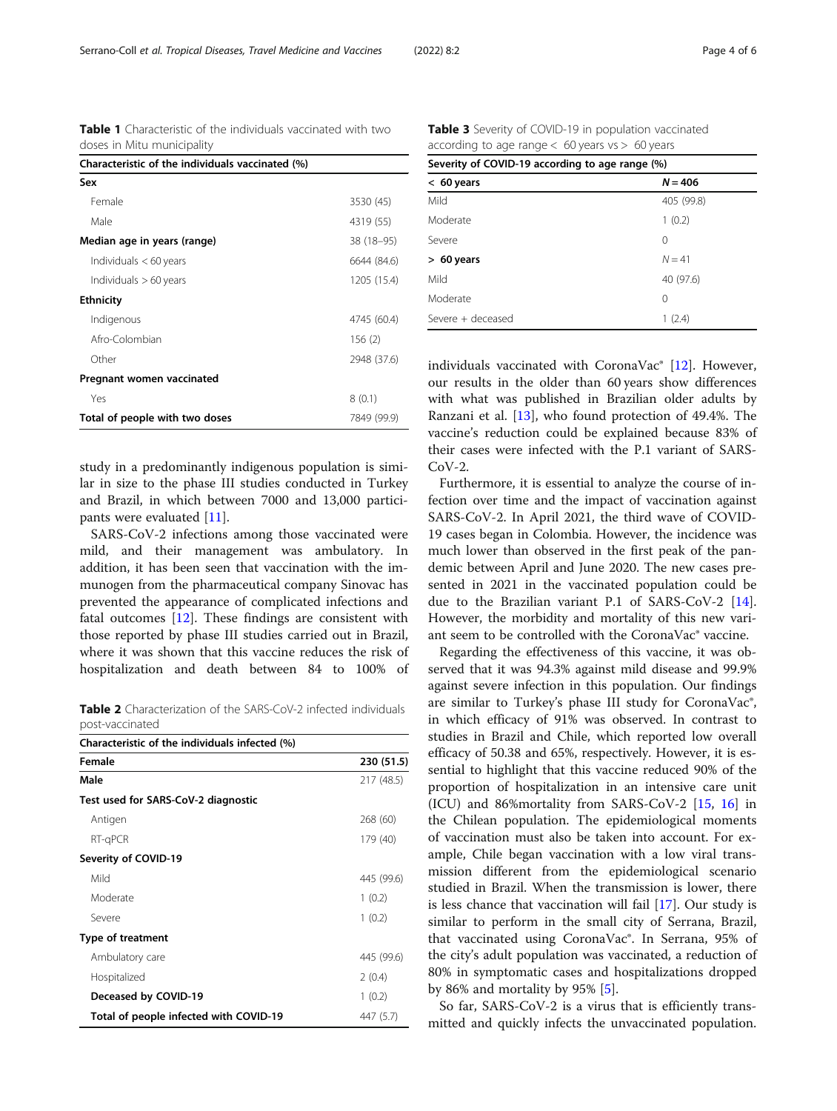study in a predominantly indigenous population is similar in size to the phase III studies conducted in Turkey and Brazil, in which between 7000 and 13,000 participants were evaluated [\[11](#page-5-0)].

SARS-CoV-2 infections among those vaccinated were mild, and their management was ambulatory. In addition, it has been seen that vaccination with the immunogen from the pharmaceutical company Sinovac has prevented the appearance of complicated infections and fatal outcomes [\[12](#page-5-0)]. These findings are consistent with those reported by phase III studies carried out in Brazil, where it was shown that this vaccine reduces the risk of hospitalization and death between 84 to 100% of

**Table 2** Characterization of the SARS-CoV-2 infected individuals post-vaccinated

| Characteristic of the individuals infected (%) |            |  |  |  |
|------------------------------------------------|------------|--|--|--|
| Female                                         | 230 (51.5) |  |  |  |
| Male                                           | 217 (48.5) |  |  |  |
| Test used for SARS-CoV-2 diagnostic            |            |  |  |  |
| Antigen                                        | 268 (60)   |  |  |  |
| RT-gPCR                                        | 179 (40)   |  |  |  |
| Severity of COVID-19                           |            |  |  |  |
| Mild                                           | 445 (99.6) |  |  |  |
| Moderate                                       | 1(0.2)     |  |  |  |
| Severe                                         | 1(0.2)     |  |  |  |
| <b>Type of treatment</b>                       |            |  |  |  |
| Ambulatory care                                | 445 (99.6) |  |  |  |
| Hospitalized                                   | 2(0.4)     |  |  |  |
| Deceased by COVID-19                           | 1(0.2)     |  |  |  |
| Total of people infected with COVID-19         | 447 (5.7)  |  |  |  |

Table 3 Severity of COVID-19 in population vaccinated according to age range  $< 60$  years vs  $> 60$  years

| Severity of COVID-19 according to age range (%) |            |  |  |
|-------------------------------------------------|------------|--|--|
| $< 60$ years                                    | $N = 406$  |  |  |
| Mild                                            | 405 (99.8) |  |  |
| Moderate                                        | 1(0.2)     |  |  |
| Severe                                          | 0          |  |  |
| $> 60$ years                                    | $N = 41$   |  |  |
| Mild                                            | 40 (97.6)  |  |  |
| Moderate                                        | 0          |  |  |
| Severe + deceased                               | 1(2.4)     |  |  |

individuals vaccinated with CoronaVac® [\[12\]](#page-5-0). However, our results in the older than 60 years show differences with what was published in Brazilian older adults by Ranzani et al. [\[13\]](#page-5-0), who found protection of 49.4%. The vaccine's reduction could be explained because 83% of their cases were infected with the P.1 variant of SARS- $CoV-2.$ 

Furthermore, it is essential to analyze the course of infection over time and the impact of vaccination against SARS-CoV-2. In April 2021, the third wave of COVID-19 cases began in Colombia. However, the incidence was much lower than observed in the first peak of the pandemic between April and June 2020. The new cases presented in 2021 in the vaccinated population could be due to the Brazilian variant P.1 of SARS-CoV-2 [\[14](#page-5-0)]. However, the morbidity and mortality of this new variant seem to be controlled with the CoronaVac® vaccine.

Regarding the effectiveness of this vaccine, it was observed that it was 94.3% against mild disease and 99.9% against severe infection in this population. Our findings are similar to Turkey's phase III study for CoronaVac®, in which efficacy of 91% was observed. In contrast to studies in Brazil and Chile, which reported low overall efficacy of 50.38 and 65%, respectively. However, it is essential to highlight that this vaccine reduced 90% of the proportion of hospitalization in an intensive care unit (ICU) and 86%mortality from SARS-CoV-2 [[15](#page-5-0), [16\]](#page-5-0) in the Chilean population. The epidemiological moments of vaccination must also be taken into account. For example, Chile began vaccination with a low viral transmission different from the epidemiological scenario studied in Brazil. When the transmission is lower, there is less chance that vaccination will fail [[17\]](#page-5-0). Our study is similar to perform in the small city of Serrana, Brazil, that vaccinated using CoronaVac®. In Serrana, 95% of the city's adult population was vaccinated, a reduction of 80% in symptomatic cases and hospitalizations dropped by 86% and mortality by 95% [\[5](#page-5-0)].

So far, SARS-CoV-2 is a virus that is efficiently transmitted and quickly infects the unvaccinated population.

<span id="page-3-0"></span>Table 1 Characteristic of the individuals vaccinated with two

Female 3530 (45) Male 4319 (55) Median age in years (range) 38 (18-95)  $Individuals < 60 years$  6644 (84.6)  $Individuals > 60 years$  1205 (15.4)

Indigenous 4745 (60.4) Afro-Colombian 156 (2) Other 2948 (37.6)

 $Yes$   $8(0.1)$ Total of people with two doses 7849 (99.9)

Characteristic of the individuals vaccinated (%)

doses in Mitu municipality

Pregnant women vaccinated

Sex

**Ethnicity**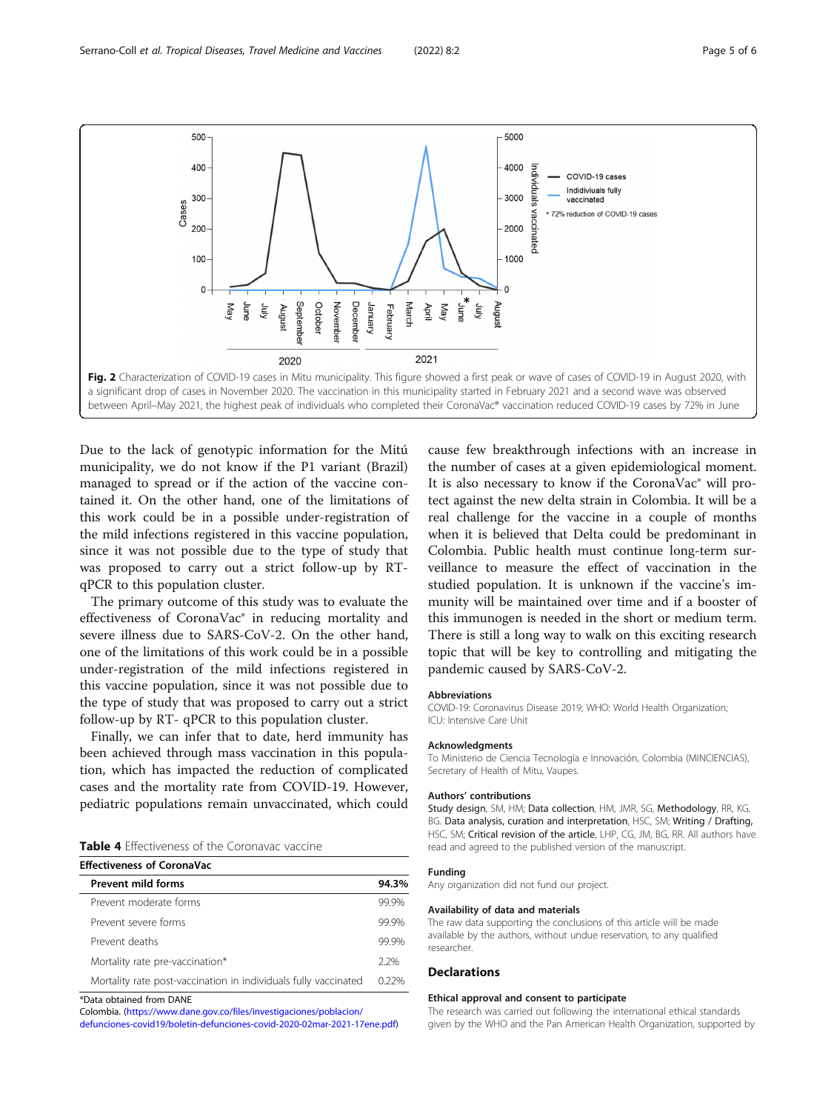<span id="page-4-0"></span>

Due to the lack of genotypic information for the Mitú municipality, we do not know if the P1 variant (Brazil) managed to spread or if the action of the vaccine contained it. On the other hand, one of the limitations of this work could be in a possible under-registration of the mild infections registered in this vaccine population, since it was not possible due to the type of study that was proposed to carry out a strict follow-up by RTqPCR to this population cluster.

The primary outcome of this study was to evaluate the effectiveness of CoronaVac® in reducing mortality and severe illness due to SARS-CoV-2. On the other hand, one of the limitations of this work could be in a possible under-registration of the mild infections registered in this vaccine population, since it was not possible due to the type of study that was proposed to carry out a strict follow-up by RT- qPCR to this population cluster.

Finally, we can infer that to date, herd immunity has been achieved through mass vaccination in this population, which has impacted the reduction of complicated cases and the mortality rate from COVID-19. However, pediatric populations remain unvaccinated, which could

|  | Table 4 Effectiveness of the Coronavac vaccine |  |  |  |
|--|------------------------------------------------|--|--|--|
|--|------------------------------------------------|--|--|--|

| <b>Effectiveness of CoronaVac</b>                               |       |
|-----------------------------------------------------------------|-------|
| <b>Prevent mild forms</b>                                       | 94.3% |
| Prevent moderate forms                                          | 99.9% |
| Prevent severe forms                                            | 99 9% |
| Prevent deaths                                                  | 99 9% |
| Mortality rate pre-vaccination*                                 | 22%   |
| Mortality rate post-vaccination in individuals fully vaccinated | 0.22% |

\*Data obtained from DANE

Colombia. [\(https://www.dane.gov.co/files/investigaciones/poblacion/](https://www.dane.gov.co/files/investigaciones/poblacion/defunciones-covid19/boletin-defunciones-covid-2020-02mar-2021-17ene.pdf)

[defunciones-covid19/boletin-defunciones-covid-2020-02mar-2021-17ene.pdf\)](https://www.dane.gov.co/files/investigaciones/poblacion/defunciones-covid19/boletin-defunciones-covid-2020-02mar-2021-17ene.pdf)

cause few breakthrough infections with an increase in the number of cases at a given epidemiological moment. It is also necessary to know if the CoronaVac® will protect against the new delta strain in Colombia. It will be a real challenge for the vaccine in a couple of months when it is believed that Delta could be predominant in Colombia. Public health must continue long-term surveillance to measure the effect of vaccination in the studied population. It is unknown if the vaccine's immunity will be maintained over time and if a booster of this immunogen is needed in the short or medium term. There is still a long way to walk on this exciting research topic that will be key to controlling and mitigating the pandemic caused by SARS-CoV-2.

#### **Abbreviations**

COVID-19: Coronavirus Disease 2019; WHO: World Health Organization; ICU: Intensive Care Unit

#### Acknowledgments

To Ministerio de Ciencia Tecnología e Innovación, Colombia (MINCIENCIAS), Secretary of Health of Mitu, Vaupes.

#### Authors' contributions

Study design, SM, HM; Data collection, HM, JMR, SG, Methodology, RR, KG, BG. Data analysis, curation and interpretation, HSC, SM; Writing / Drafting, HSC, SM; Critical revision of the article, LHP, CG, JM, BG, RR. All authors have read and agreed to the published version of the manuscript.

### Funding

Any organization did not fund our project.

#### Availability of data and materials

The raw data supporting the conclusions of this article will be made available by the authors, without undue reservation, to any qualified researcher.

#### Declarations

#### Ethical approval and consent to participate

The research was carried out following the international ethical standards given by the WHO and the Pan American Health Organization, supported by